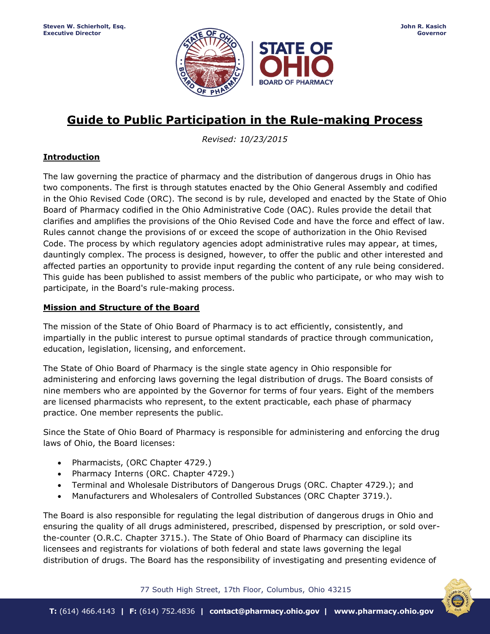

# **Guide to Public Participation in the Rule-making Process**

*Revised: 10/23/2015*

## **Introduction**

The law governing the practice of pharmacy and the distribution of dangerous drugs in Ohio has two components. The first is through statutes enacted by the Ohio General Assembly and codified in the Ohio Revised Code (ORC). The second is by rule, developed and enacted by the State of Ohio Board of Pharmacy codified in the Ohio Administrative Code (OAC). Rules provide the detail that clarifies and amplifies the provisions of the Ohio Revised Code and have the force and effect of law. Rules cannot change the provisions of or exceed the scope of authorization in the Ohio Revised Code. The process by which regulatory agencies adopt administrative rules may appear, at times, dauntingly complex. The process is designed, however, to offer the public and other interested and affected parties an opportunity to provide input regarding the content of any rule being considered. This guide has been published to assist members of the public who participate, or who may wish to participate, in the Board's rule-making process.

### **Mission and Structure of the Board**

The mission of the State of Ohio Board of Pharmacy is to act efficiently, consistently, and impartially in the public interest to pursue optimal standards of practice through communication, education, legislation, licensing, and enforcement.

The State of Ohio Board of Pharmacy is the single state agency in Ohio responsible for administering and enforcing laws governing the legal distribution of drugs. The Board consists of nine members who are appointed by the Governor for terms of four years. Eight of the members are licensed pharmacists who represent, to the extent practicable, each phase of pharmacy practice. One member represents the public.

Since the State of Ohio Board of Pharmacy is responsible for administering and enforcing the drug laws of Ohio, the Board licenses:

- Pharmacists, (ORC Chapter 4729.)
- Pharmacy Interns (ORC. Chapter 4729.)
- Terminal and Wholesale Distributors of Dangerous Drugs (ORC. Chapter 4729.); and
- Manufacturers and Wholesalers of Controlled Substances (ORC Chapter 3719.).

The Board is also responsible for regulating the legal distribution of dangerous drugs in Ohio and ensuring the quality of all drugs administered, prescribed, dispensed by prescription, or sold overthe-counter (O.R.C. Chapter 3715.). The State of Ohio Board of Pharmacy can discipline its licensees and registrants for violations of both federal and state laws governing the legal distribution of drugs. The Board has the responsibility of investigating and presenting evidence of

77 South High Street, 17th Floor, Columbus, Ohio 43215

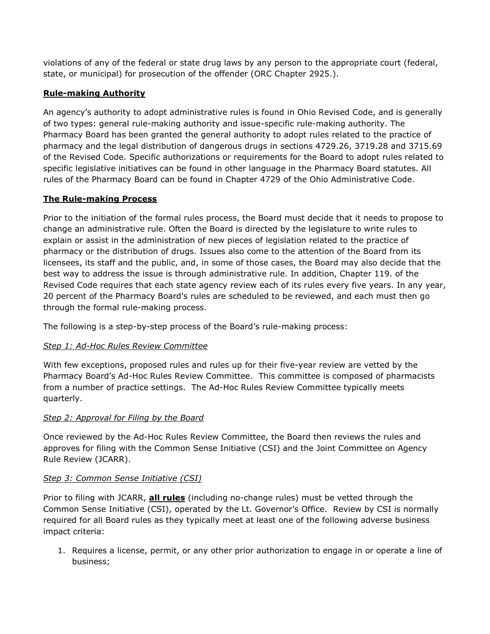violations of any of the federal or state drug laws by any person to the appropriate court (federal, state, or municipal) for prosecution of the offender (ORC Chapter 2925.).

## **Rule-making Authority**

An agency's authority to adopt administrative rules is found in Ohio Revised Code, and is generally of two types: general rule-making authority and issue-specific rule-making authority. The Pharmacy Board has been granted the general authority to adopt rules related to the practice of pharmacy and the legal distribution of dangerous drugs in sections 4729.26, 3719.28 and 3715.69 of the Revised Code. Specific authorizations or requirements for the Board to adopt rules related to specific legislative initiatives can be found in other language in the Pharmacy Board statutes. All rules of the Pharmacy Board can be found in Chapter 4729 of the Ohio Administrative Code.

### **The Rule-making Process**

Prior to the initiation of the formal rules process, the Board must decide that it needs to propose to change an administrative rule. Often the Board is directed by the legislature to write rules to explain or assist in the administration of new pieces of legislation related to the practice of pharmacy or the distribution of drugs. Issues also come to the attention of the Board from its licensees, its staff and the public, and, in some of those cases, the Board may also decide that the best way to address the issue is through administrative rule. In addition, Chapter 119. of the Revised Code requires that each state agency review each of its rules every five years. In any year, 20 percent of the Pharmacy Board's rules are scheduled to be reviewed, and each must then go through the formal rule-making process.

The following is a step-by-step process of the Board's rule-making process:

## *Step 1: Ad-Hoc Rules Review Committee*

With few exceptions, proposed rules and rules up for their five-year review are vetted by the Pharmacy Board's Ad-Hoc Rules Review Committee. This committee is composed of pharmacists from a number of practice settings. The Ad-Hoc Rules Review Committee typically meets quarterly.

## *Step 2: Approval for Filing by the Board*

Once reviewed by the Ad-Hoc Rules Review Committee, the Board then reviews the rules and approves for filing with the Common Sense Initiative (CSI) and the Joint Committee on Agency Rule Review (JCARR).

### *Step 3: Common Sense Initiative (CSI)*

Prior to filing with JCARR, **all rules** (including no-change rules) must be vetted through the Common Sense Initiative (CSI), operated by the Lt. Governor's Office. Review by CSI is normally required for all Board rules as they typically meet at least one of the following adverse business impact criteria:

1. Requires a license, permit, or any other prior authorization to engage in or operate a line of business;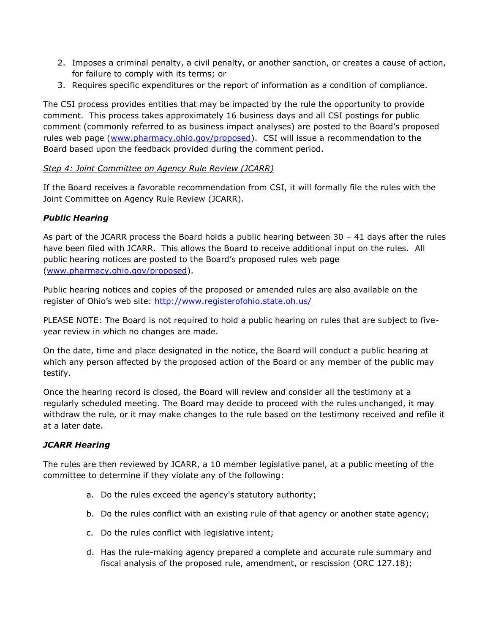- 2. Imposes a criminal penalty, a civil penalty, or another sanction, or creates a cause of action, for failure to comply with its terms; or
- 3. Requires specific expenditures or the report of information as a condition of compliance.

The CSI process provides entities that may be impacted by the rule the opportunity to provide comment. This process takes approximately 16 business days and all CSI postings for public comment (commonly referred to as business impact analyses) are posted to the Board's proposed rules web page [\(www.pharmacy.ohio.gov/proposed\)](http://www.pharmacy.ohio.gov/proposed). CSI will issue a recommendation to the Board based upon the feedback provided during the comment period.

### *Step 4: Joint Committee on Agency Rule Review (JCARR)*

If the Board receives a favorable recommendation from CSI, it will formally file the rules with the Joint Committee on Agency Rule Review (JCARR).

## *Public Hearing*

As part of the JCARR process the Board holds a public hearing between 30 – 41 days after the rules have been filed with JCARR. This allows the Board to receive additional input on the rules. All public hearing notices are posted to the Board's proposed rules web page [\(www.pharmacy.ohio.gov/proposed\)](http://www.pharmacy.ohio.gov/proposed).

Public hearing notices and copies of the proposed or amended rules are also available on the register of Ohio's web site: <http://www.registerofohio.state.oh.us/>

PLEASE NOTE: The Board is not required to hold a public hearing on rules that are subject to fiveyear review in which no changes are made.

On the date, time and place designated in the notice, the Board will conduct a public hearing at which any person affected by the proposed action of the Board or any member of the public may testify.

Once the hearing record is closed, the Board will review and consider all the testimony at a regularly scheduled meeting. The Board may decide to proceed with the rules unchanged, it may withdraw the rule, or it may make changes to the rule based on the testimony received and refile it at a later date.

## *JCARR Hearing*

The rules are then reviewed by JCARR, a 10 member legislative panel, at a public meeting of the committee to determine if they violate any of the following:

- a. Do the rules exceed the agency's statutory authority;
- b. Do the rules conflict with an existing rule of that agency or another state agency;
- c. Do the rules conflict with legislative intent;
- d. Has the rule-making agency prepared a complete and accurate rule summary and fiscal analysis of the proposed rule, amendment, or rescission (ORC 127.18);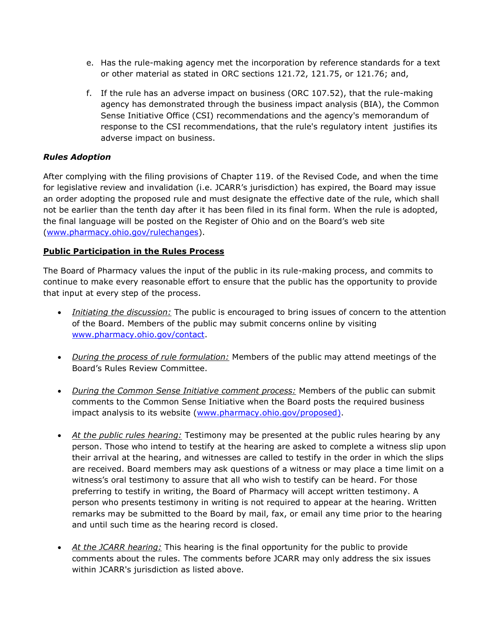- e. Has the rule-making agency met the incorporation by reference standards for a text or other material as stated in ORC sections 121.72, 121.75, or 121.76; and,
- f. If the rule has an adverse impact on business (ORC 107.52), that the rule-making agency has demonstrated through the business impact analysis (BIA), the Common Sense Initiative Office (CSI) recommendations and the agency's memorandum of response to the CSI recommendations, that the rule's regulatory intent justifies its adverse impact on business.

### *Rules Adoption*

After complying with the filing provisions of Chapter 119. of the Revised Code, and when the time for legislative review and invalidation (i.e. JCARR's jurisdiction) has expired, the Board may issue an order adopting the proposed rule and must designate the effective date of the rule, which shall not be earlier than the tenth day after it has been filed in its final form. When the rule is adopted, the final language will be posted on the Register of Ohio and on the Board's web site [\(www.pharmacy.ohio.gov/rulechanges\)](http://www.pharmacy.ohio.gov/rulechanges).

### **Public Participation in the Rules Process**

The Board of Pharmacy values the input of the public in its rule-making process, and commits to continue to make every reasonable effort to ensure that the public has the opportunity to provide that input at every step of the process.

- *Initiating the discussion:* The public is encouraged to bring issues of concern to the attention of the Board. Members of the public may submit concerns online by visiting [www.pharmacy.ohio.gov/contact.](http://www.pharmacy.ohio.gov/contact)
- *During the process of rule formulation:* Members of the public may attend meetings of the Board's Rules Review Committee.
- *During the Common Sense Initiative comment process:* Members of the public can submit comments to the Common Sense Initiative when the Board posts the required business impact analysis to its website [\(www.pharmacy.ohio.gov/proposed\)](http://www.pharmacy.ohio.gov/proposed).
- *At the public rules hearing:* Testimony may be presented at the public rules hearing by any person. Those who intend to testify at the hearing are asked to complete a witness slip upon their arrival at the hearing, and witnesses are called to testify in the order in which the slips are received. Board members may ask questions of a witness or may place a time limit on a witness's oral testimony to assure that all who wish to testify can be heard. For those preferring to testify in writing, the Board of Pharmacy will accept written testimony. A person who presents testimony in writing is not required to appear at the hearing. Written remarks may be submitted to the Board by mail, fax, or email any time prior to the hearing and until such time as the hearing record is closed.
- *At the JCARR hearing:* This hearing is the final opportunity for the public to provide comments about the rules. The comments before JCARR may only address the six issues within JCARR's jurisdiction as listed above.